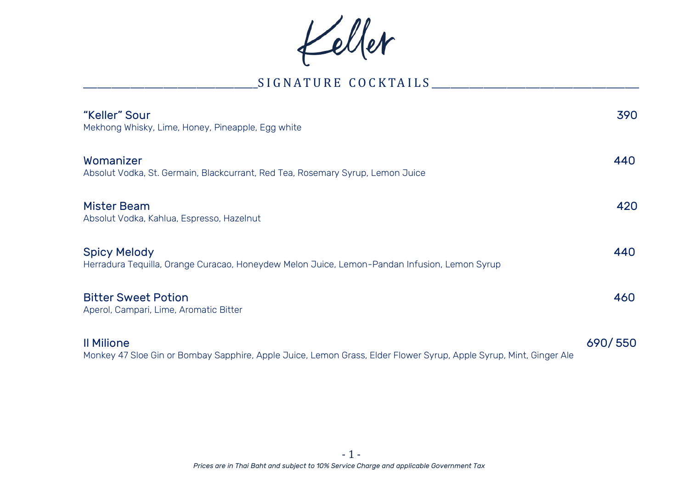Keller

## \_\_\_\_\_\_\_\_\_\_\_\_\_\_\_\_\_\_\_\_\_\_\_\_\_\_\_\_\_\_\_\_\_\_\_\_\_S I G N A T U R E C O C K TA I L S \_\_\_\_\_\_\_\_\_\_\_\_\_\_\_\_\_\_\_\_\_\_\_\_\_\_\_\_\_\_\_\_\_\_\_\_\_\_\_\_\_\_\_\_

| "Keller" Sour<br>Mekhong Whisky, Lime, Honey, Pineapple, Egg white                                                  | 390     |
|---------------------------------------------------------------------------------------------------------------------|---------|
| Womanizer<br>Absolut Vodka, St. Germain, Blackcurrant, Red Tea, Rosemary Syrup, Lemon Juice                         | 440     |
| Mister Beam<br>Absolut Vodka, Kahlua, Espresso, Hazelnut                                                            | 420     |
| <b>Spicy Melody</b><br>Herradura Tequilla, Orange Curacao, Honeydew Melon Juice, Lemon-Pandan Infusion, Lemon Syrup | 440     |
| <b>Bitter Sweet Potion</b><br>Aperol, Campari, Lime, Aromatic Bitter                                                | 460     |
| <b>Il Milione</b>                                                                                                   | 690/550 |

Monkey 47 Sloe Gin or Bombay Sapphire, Apple Juice, Lemon Grass, Elder Flower Syrup, Apple Syrup, Mint, Ginger Ale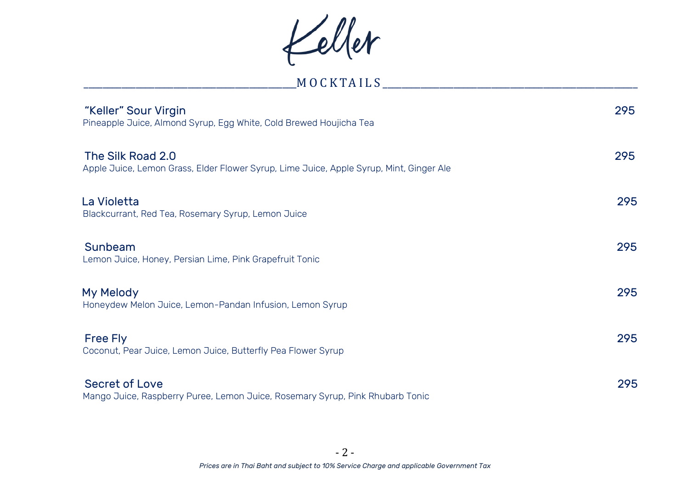Keller

| MOCKTAILS                                                                               |     |
|-----------------------------------------------------------------------------------------|-----|
| "Keller" Sour Virgin                                                                    | 295 |
| Pineapple Juice, Almond Syrup, Egg White, Cold Brewed Houjicha Tea                      |     |
| The Silk Road 2.0                                                                       | 295 |
| Apple Juice, Lemon Grass, Elder Flower Syrup, Lime Juice, Apple Syrup, Mint, Ginger Ale |     |
| La Violetta                                                                             | 295 |
| Blackcurrant, Red Tea, Rosemary Syrup, Lemon Juice                                      |     |
| Sunbeam                                                                                 | 295 |
| Lemon Juice, Honey, Persian Lime, Pink Grapefruit Tonic                                 |     |
| My Melody                                                                               | 295 |
| Honeydew Melon Juice, Lemon-Pandan Infusion, Lemon Syrup                                |     |
| Free Fly                                                                                | 295 |
| Coconut, Pear Juice, Lemon Juice, Butterfly Pea Flower Syrup                            |     |
| Secret of Love                                                                          | 295 |
| Mango Juice, Raspberry Puree, Lemon Juice, Rosemary Syrup, Pink Rhubarb Tonic           |     |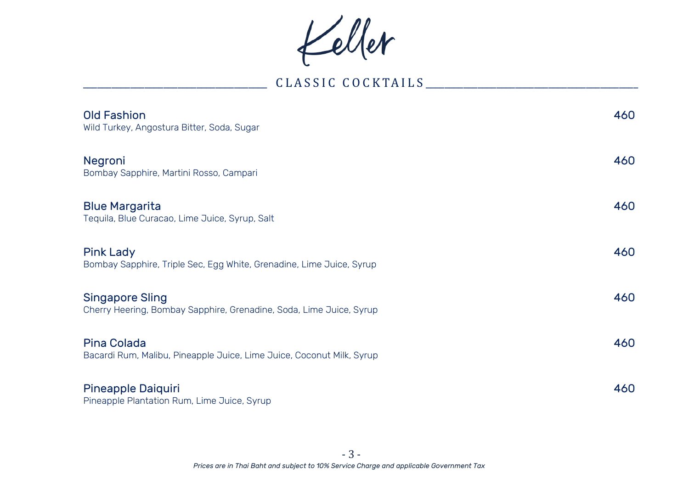Keller

# \_\_\_\_\_\_\_\_\_\_\_\_\_\_\_\_\_\_\_\_\_\_\_\_\_\_\_\_\_\_\_\_\_\_\_\_\_\_\_ C L A S S I C C O C K TA I L S \_\_\_\_\_\_\_\_\_\_\_\_\_\_\_\_\_\_\_\_\_\_\_\_\_\_\_\_\_\_\_\_\_\_\_\_\_\_\_\_\_\_\_\_\_

| Old Fashion<br>Wild Turkey, Angostura Bitter, Soda, Sugar                                     | 460 |
|-----------------------------------------------------------------------------------------------|-----|
| Negroni<br>Bombay Sapphire, Martini Rosso, Campari                                            | 460 |
| <b>Blue Margarita</b><br>Tequila, Blue Curacao, Lime Juice, Syrup, Salt                       | 460 |
| <b>Pink Lady</b><br>Bombay Sapphire, Triple Sec, Egg White, Grenadine, Lime Juice, Syrup      | 460 |
| <b>Singapore Sling</b><br>Cherry Heering, Bombay Sapphire, Grenadine, Soda, Lime Juice, Syrup | 460 |
| Pina Colada<br>Bacardi Rum, Malibu, Pineapple Juice, Lime Juice, Coconut Milk, Syrup          | 460 |
| Pineapple Daiquiri<br>Pineapple Plantation Rum, Lime Juice, Syrup                             | 460 |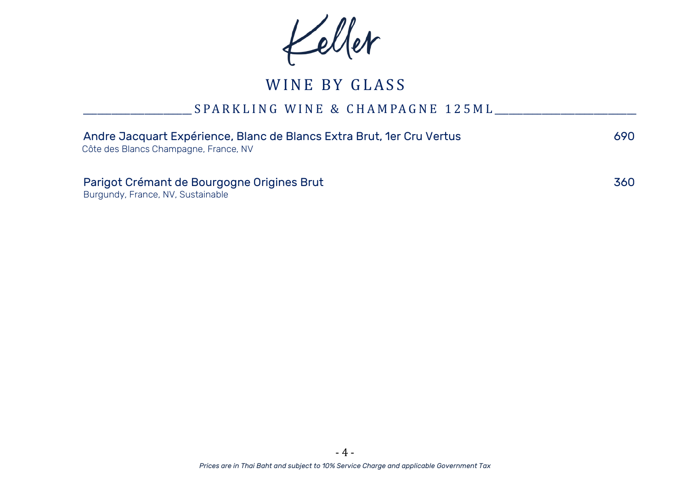Keller

## \_\_\_\_\_\_\_\_\_\_\_\_\_\_\_\_\_\_\_\_\_\_\_ S P A R K L I N G W I N E & C H A M PA G N E 1 2 5 M L \_\_\_\_\_\_\_\_\_\_\_\_\_\_\_\_\_\_\_\_\_\_\_\_\_\_\_\_\_\_

| Andre Jacquart Expérience, Blanc de Blancs Extra Brut, 1er Cru Vertus<br>Côte des Blancs Champagne, France, NV | 690. |
|----------------------------------------------------------------------------------------------------------------|------|
| Parigot Crémant de Bourgogne Origines Brut<br>Burgundy, France, NV, Sustainable                                | 360  |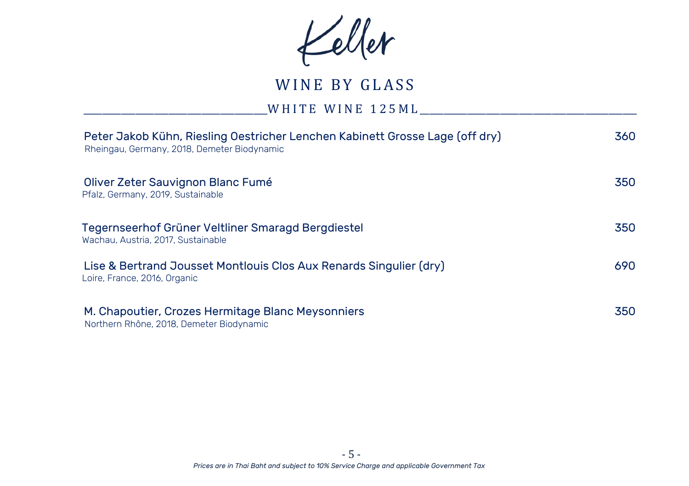Keller

\_\_\_\_\_\_\_\_\_\_\_\_\_\_\_\_\_\_\_\_\_\_\_\_\_\_\_\_\_\_\_\_\_\_\_\_\_\_\_W H I T E W I N E 1 2 5 M L \_\_\_\_\_\_\_\_\_\_\_\_\_\_\_\_\_\_\_\_\_\_\_\_\_\_\_\_\_\_\_\_\_\_\_\_\_\_\_\_\_\_\_\_\_\_

| Peter Jakob Kühn, Riesling Oestricher Lenchen Kabinett Grosse Lage (off dry)<br>Rheingau, Germany, 2018, Demeter Biodynamic | 360 |
|-----------------------------------------------------------------------------------------------------------------------------|-----|
| Oliver Zeter Sauvignon Blanc Fumé<br>Pfalz, Germany, 2019, Sustainable                                                      | 350 |
| Tegernseerhof Grüner Veltliner Smaragd Bergdiestel<br>Wachau, Austria, 2017, Sustainable                                    | 350 |
| Lise & Bertrand Jousset Montlouis Clos Aux Renards Singulier (dry)<br>Loire, France, 2016, Organic                          | 690 |
| M. Chapoutier, Crozes Hermitage Blanc Meysonniers<br>Northern Rhône, 2018, Demeter Biodynamic                               | 350 |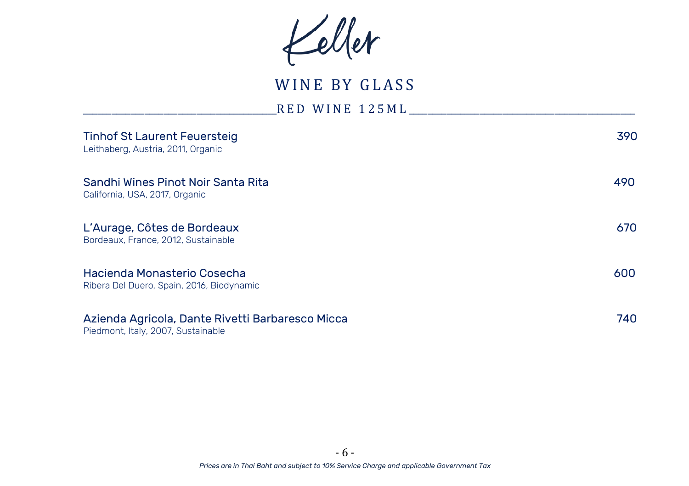Keller

\_\_\_\_\_\_\_\_\_\_\_\_\_\_\_\_\_\_\_\_\_\_\_\_\_\_\_\_\_\_\_\_\_\_\_\_\_\_\_\_\_R E D W I N E 1 2 5 M L \_\_\_\_\_\_\_\_\_\_\_\_\_\_\_\_\_\_\_\_\_\_\_\_\_\_\_\_\_\_\_\_\_\_\_\_\_\_\_\_\_\_\_\_\_\_\_\_

| <b>Tinhof St Laurent Feuersteig</b><br>Leithaberg, Austria, 2011, Organic              | 390 |
|----------------------------------------------------------------------------------------|-----|
| Sandhi Wines Pinot Noir Santa Rita<br>California, USA, 2017, Organic                   | 490 |
| L'Aurage, Côtes de Bordeaux<br>Bordeaux, France, 2012, Sustainable                     | 670 |
| Hacienda Monasterio Cosecha<br>Ribera Del Duero, Spain, 2016, Biodynamic               | 600 |
| Azienda Agricola, Dante Rivetti Barbaresco Micca<br>Piedmont, Italy, 2007, Sustainable | 740 |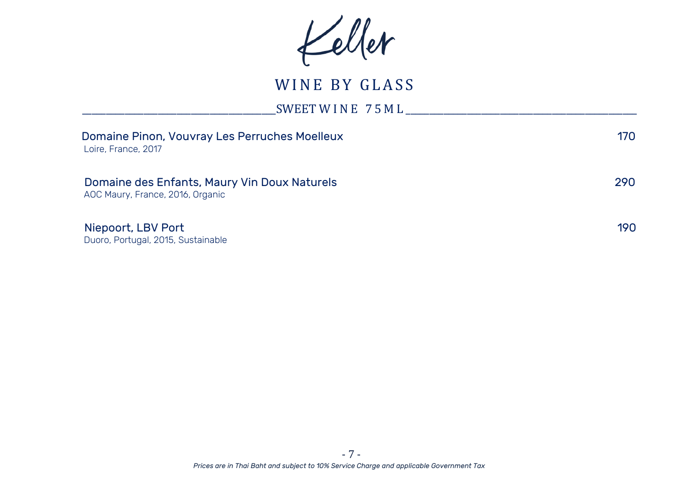Keller

\_\_\_\_\_\_\_\_\_\_\_\_\_\_\_\_\_\_\_\_\_\_\_\_\_\_\_\_\_\_\_\_\_\_\_\_\_\_\_\_\_SWEET W I N E 7 5 M L \_\_\_\_\_\_\_\_\_\_\_\_\_\_\_\_\_\_\_\_\_\_\_\_\_\_\_\_\_\_\_\_\_\_\_\_\_\_\_\_\_\_\_\_\_\_\_\_\_

| Loire, France, 2017                                      | Domaine Pinon, Vouvray Les Perruches Moelleux | 170  |
|----------------------------------------------------------|-----------------------------------------------|------|
| AOC Maury, France, 2016, Organic                         | Domaine des Enfants, Maury Vin Doux Naturels  | 290. |
| Niepoort, LBV Port<br>Duoro, Portugal, 2015, Sustainable |                                               | 190. |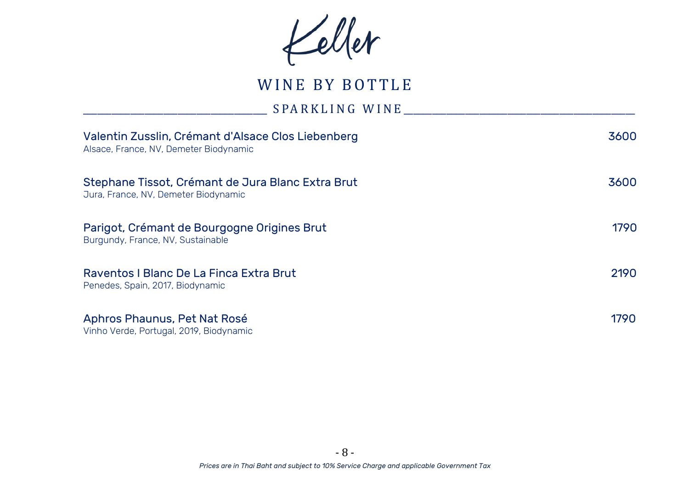Keller

WINE BY BOTTLE

\_\_\_\_\_\_\_\_\_\_\_\_\_\_\_\_\_\_\_\_\_\_\_\_\_\_\_\_\_\_\_\_\_\_\_\_\_\_\_ S PA R K L I N G W I N E \_\_\_\_\_\_\_\_\_\_\_\_\_\_\_\_\_\_\_\_\_\_\_\_\_\_\_\_\_\_\_\_\_\_\_\_\_\_\_\_\_\_\_\_\_\_\_\_\_

| Valentin Zusslin, Crémant d'Alsace Clos Liebenberg<br>Alsace, France, NV, Demeter Biodynamic | 3600  |
|----------------------------------------------------------------------------------------------|-------|
| Stephane Tissot, Crémant de Jura Blanc Extra Brut<br>Jura, France, NV, Demeter Biodynamic    | 3600  |
| Parigot, Crémant de Bourgogne Origines Brut<br>Burgundy, France, NV, Sustainable             | 1790  |
| Raventos I Blanc De La Finca Extra Brut<br>Penedes, Spain, 2017, Biodynamic                  | 2190  |
| Aphros Phaunus, Pet Nat Rosé<br>Vinho Verde, Portugal, 2019, Biodynamic                      | 1790. |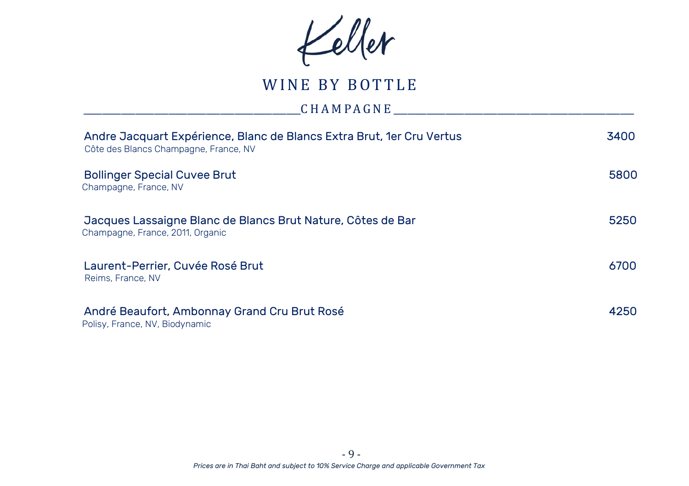Keller

# WINE BY BOTTLE

## \_\_\_\_\_\_\_\_\_\_\_\_\_\_\_\_\_\_\_\_\_\_\_\_\_\_\_\_\_\_\_\_\_\_\_\_\_\_\_\_\_\_\_\_\_\_C H A M PA G N E \_\_\_\_\_\_\_\_\_\_\_\_\_\_\_\_\_\_\_\_\_\_\_\_\_\_\_\_\_\_\_\_\_\_\_\_\_\_\_\_\_\_\_\_\_\_\_\_\_\_\_

| Andre Jacquart Expérience, Blanc de Blancs Extra Brut, 1er Cru Vertus<br>Côte des Blancs Champagne, France, NV | 3400 |
|----------------------------------------------------------------------------------------------------------------|------|
| <b>Bollinger Special Cuvee Brut</b><br>Champagne, France, NV                                                   | 5800 |
| Jacques Lassaigne Blanc de Blancs Brut Nature, Côtes de Bar<br>Champagne, France, 2011, Organic                | 5250 |
| Laurent-Perrier, Cuvée Rosé Brut<br>Reims, France, NV                                                          | 6700 |
| André Beaufort, Ambonnay Grand Cru Brut Rosé<br>Polisy, France, NV, Biodynamic                                 | 4250 |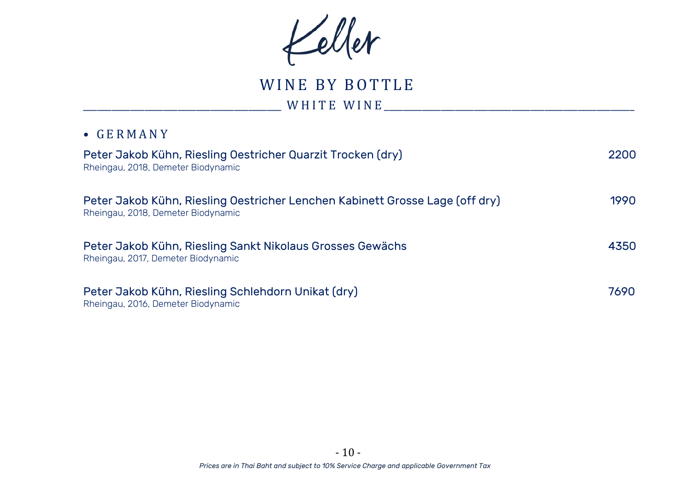Keller

WINE BY BOTTLE \_\_\_\_\_\_\_\_\_\_\_\_\_\_\_\_\_\_\_\_\_\_\_\_\_\_\_\_\_\_\_\_\_\_\_\_\_\_\_\_\_\_ W H I T E W I N E \_\_\_\_\_\_\_\_\_\_\_\_\_\_\_\_\_\_\_\_\_\_\_\_\_\_\_\_\_\_\_\_\_\_\_\_\_\_\_\_\_\_\_\_\_\_\_\_\_\_\_\_\_

#### • G E R M A N Y

| Peter Jakob Kühn, Riesling Oestricher Quarzit Trocken (dry)<br>Rheingau, 2018, Demeter Biodynamic                  | 2200 |
|--------------------------------------------------------------------------------------------------------------------|------|
| Peter Jakob Kühn, Riesling Oestricher Lenchen Kabinett Grosse Lage (off dry)<br>Rheingau, 2018, Demeter Biodynamic | 1990 |
| Peter Jakob Kühn, Riesling Sankt Nikolaus Grosses Gewächs<br>Rheingau, 2017, Demeter Biodynamic                    | 4350 |
| Peter Jakob Kühn, Riesling Schlehdorn Unikat (dry)<br>Rheingau, 2016, Demeter Biodynamic                           | 7690 |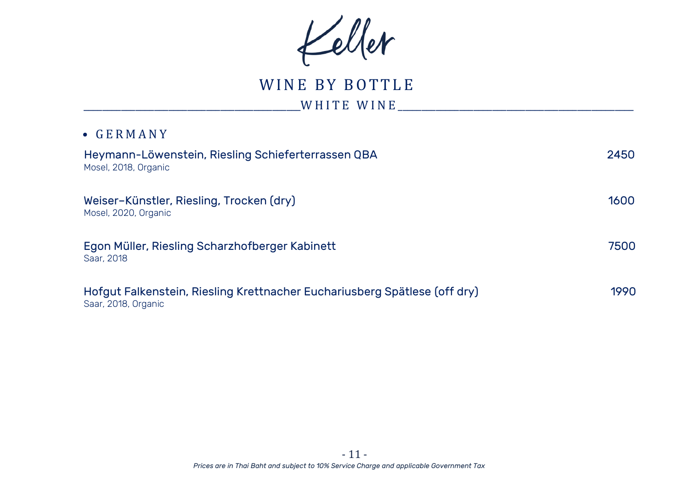Keller

# WINE BY BOTTLE

\_\_\_\_\_\_\_\_\_\_\_\_\_\_\_\_\_\_\_\_\_\_\_\_\_\_\_\_\_\_\_\_\_\_\_\_\_\_\_\_\_\_\_\_\_\_W H I T E W I N E \_\_\_\_\_\_\_\_\_\_\_\_\_\_\_\_\_\_\_\_\_\_\_\_\_\_\_\_\_\_\_\_\_\_\_\_\_\_\_\_\_\_\_\_\_\_\_\_\_\_

### • G E R M A N Y

| Heymann-Löwenstein, Riesling Schieferterrassen QBA<br>Mosel, 2018, Organic                       | 2450 |
|--------------------------------------------------------------------------------------------------|------|
| Weiser-Künstler, Riesling, Trocken (dry)<br>Mosel, 2020, Organic                                 | 1600 |
| Egon Müller, Riesling Scharzhofberger Kabinett<br>Saar, 2018                                     | 7500 |
| Hofgut Falkenstein, Riesling Krettnacher Euchariusberg Spätlese (off dry)<br>Saar, 2018, Organic | 1990 |

 *Prices are in Thai Baht and subject to 10% Service Charge and applicable Government Tax* - 11 -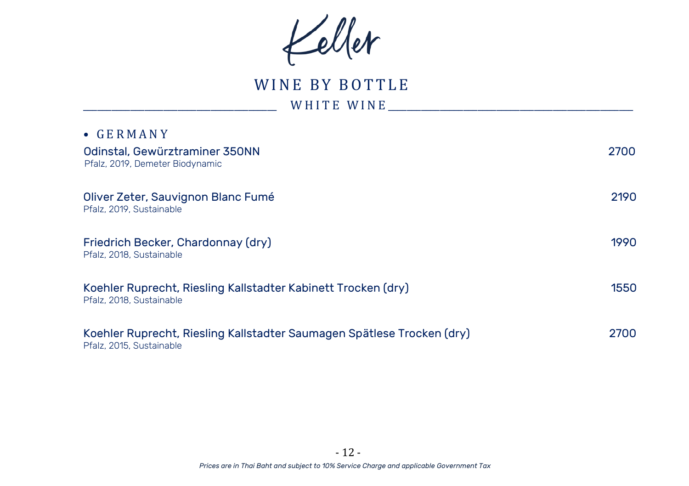Keller

WINE BY BOTTLE  $W$  H I T E  $W$  I N E  $\qquad \qquad \qquad$ 

| $\bullet$ GERMANY                                                                                  |      |
|----------------------------------------------------------------------------------------------------|------|
| Odinstal, Gewürztraminer 350NN<br>Pfalz, 2019, Demeter Biodynamic                                  | 2700 |
| Oliver Zeter, Sauvignon Blanc Fumé<br>Pfalz, 2019, Sustainable                                     | 2190 |
| Friedrich Becker, Chardonnay (dry)<br>Pfalz, 2018, Sustainable                                     | 1990 |
| Koehler Ruprecht, Riesling Kallstadter Kabinett Trocken (dry)<br>Pfalz, 2018, Sustainable          | 1550 |
| Koehler Ruprecht, Riesling Kallstadter Saumagen Spätlese Trocken (dry)<br>Pfalz. 2015. Sustainable | 2700 |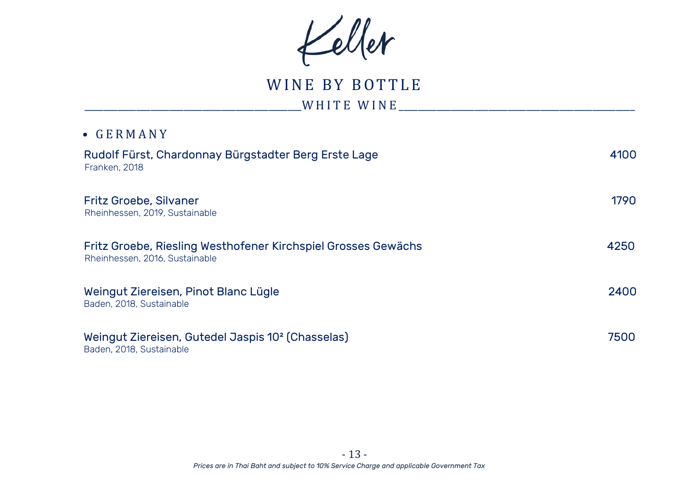Keller

WINE BY BOTTLE

WHITE WINE

# • G E R M A N Y Rudolf Fürst, Chardonnay Bürgstadter Berg Erste Lage 4100 Franken, 2018 Fritz Groebe, Silvaner 1790 Rheinhessen, 2019, Sustainable Fritz Groebe, Riesling Westhofener Kirchspiel Grosses Gewächs 4250 Rheinhessen, 2016, Sustainable Weingut Ziereisen, Pinot Blanc Lügle 2400 Baden, 2018, Sustainable Weingut Ziereisen, Gutedel Jaspis 10² (Chasselas) 7500 Baden, 2018, Sustainable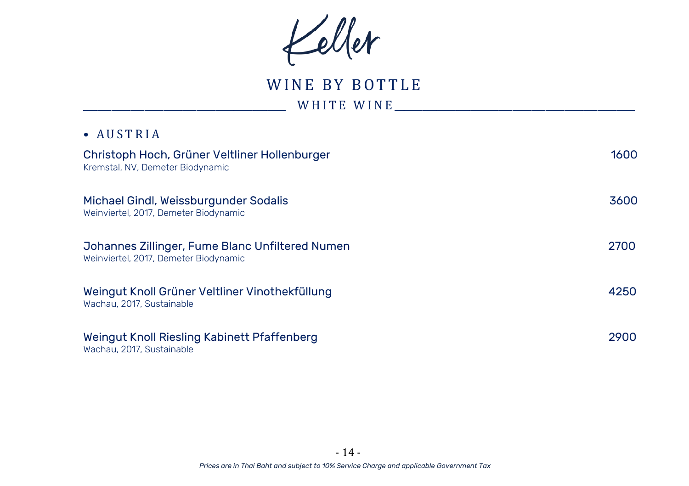Keller

WINE BY BOTTLE \_\_\_\_\_\_\_\_\_\_\_\_\_\_\_\_\_\_\_\_\_\_\_\_\_\_\_\_\_\_\_\_\_\_\_\_\_\_\_\_\_\_\_ W H I T E W I N E \_\_\_\_\_\_\_\_\_\_\_\_\_\_\_\_\_\_\_\_\_\_\_\_\_\_\_\_\_\_\_\_\_\_\_\_\_\_\_\_\_\_\_\_\_\_\_\_\_\_\_

| ∙ |  | <b>AUSTRIA</b> |  |  |  |
|---|--|----------------|--|--|--|
|---|--|----------------|--|--|--|

| Christoph Hoch, Grüner Veltliner Hollenburger<br>Kremstal, NV, Demeter Biodynamic        | 1600 |
|------------------------------------------------------------------------------------------|------|
| Michael Gindl, Weissburgunder Sodalis<br>Weinviertel, 2017, Demeter Biodynamic           | 3600 |
| Johannes Zillinger, Fume Blanc Unfiltered Numen<br>Weinviertel, 2017, Demeter Biodynamic | 2700 |
| Weingut Knoll Grüner Veltliner Vinothekfüllung<br>Wachau, 2017, Sustainable              | 4250 |
| Weingut Knoll Riesling Kabinett Pfaffenberg<br>Wachau, 2017, Sustainable                 | 2900 |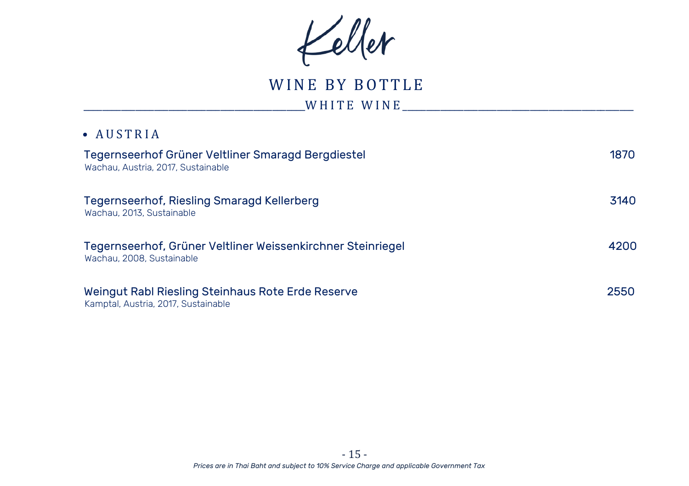Keller

WINE BY BOTTLE

\_\_\_\_\_\_\_\_\_\_\_\_\_\_\_\_\_\_\_\_\_\_\_\_\_\_\_\_\_\_\_\_\_\_\_\_\_\_\_\_\_\_\_\_\_\_\_W H I T E W I N E \_\_\_\_\_\_\_\_\_\_\_\_\_\_\_\_\_\_\_\_\_\_\_\_\_\_\_\_\_\_\_\_\_\_\_\_\_\_\_\_\_\_\_\_\_\_\_\_\_

## • A U S T R I A

| Tegernseerhof Grüner Veltliner Smaragd Bergdiestel<br>Wachau, Austria, 2017, Sustainable | 1870 |
|------------------------------------------------------------------------------------------|------|
| Tegernseerhof, Riesling Smaragd Kellerberg<br>Wachau, 2013, Sustainable                  | 3140 |
| Tegernseerhof, Grüner Veltliner Weissenkirchner Steinriegel<br>Wachau, 2008. Sustainable | 4200 |
| Weingut Rabl Riesling Steinhaus Rote Erde Reserve<br>Kamptal, Austria, 2017, Sustainable | 2550 |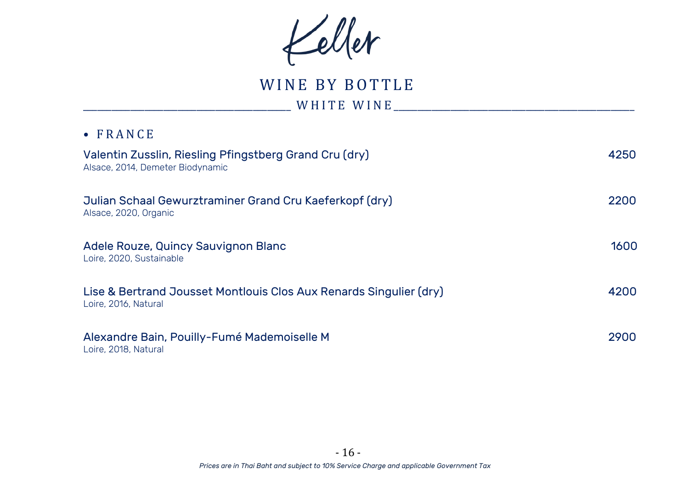Keller

WINE BY BOTTLE \_\_\_\_\_\_\_\_\_\_\_\_\_\_\_\_\_\_\_\_\_\_\_\_\_\_\_\_\_\_\_\_\_\_\_\_\_\_\_\_\_\_\_\_ W H I T E W I N E \_\_\_\_\_\_\_\_\_\_\_\_\_\_\_\_\_\_\_\_\_\_\_\_\_\_\_\_\_\_\_\_\_\_\_\_\_\_\_\_\_\_\_\_\_\_\_\_\_\_\_

| Valentin Zusslin, Riesling Pfingstberg Grand Cru (dry)<br>Alsace, 2014, Demeter Biodynamic | 4250 |
|--------------------------------------------------------------------------------------------|------|
| Julian Schaal Gewurztraminer Grand Cru Kaeferkopf (dry)<br>Alsace, 2020, Organic           | 2200 |
| Adele Rouze, Quincy Sauvignon Blanc<br>Loire, 2020, Sustainable                            | 1600 |
| Lise & Bertrand Jousset Montlouis Clos Aux Renards Singulier (dry)<br>Loire, 2016, Natural | 4200 |
| Alexandre Bain, Pouilly-Fumé Mademoiselle M<br>Loire, 2018, Natural                        | 2900 |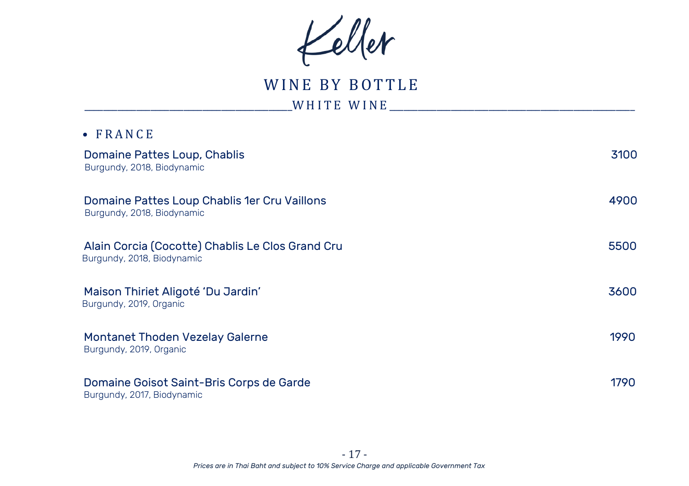Keller

WINE BY BOTTLE \_\_\_\_\_\_\_\_\_\_\_\_\_\_\_\_\_\_\_\_\_\_\_\_\_\_\_\_\_\_\_\_\_\_\_\_\_\_\_\_\_\_\_\_W H I T E W I N E \_\_\_\_\_\_\_\_\_\_\_\_\_\_\_\_\_\_\_\_\_\_\_\_\_\_\_\_\_\_\_\_\_\_\_\_\_\_\_\_\_\_\_\_\_\_\_\_\_\_\_\_

| $\bullet$ FRANCE                                                               |      |
|--------------------------------------------------------------------------------|------|
| Domaine Pattes Loup, Chablis<br>Burgundy, 2018, Biodynamic                     | 3100 |
| Domaine Pattes Loup Chablis 1er Cru Vaillons<br>Burgundy, 2018, Biodynamic     | 4900 |
| Alain Corcia (Cocotte) Chablis Le Clos Grand Cru<br>Burgundy, 2018, Biodynamic | 5500 |
| Maison Thiriet Aligoté 'Du Jardin'<br>Burgundy, 2019, Organic                  | 3600 |
| Montanet Thoden Vezelay Galerne<br>Burgundy, 2019, Organic                     | 1990 |
| Domaine Goisot Saint-Bris Corps de Garde<br>Burgundy, 2017, Biodynamic         | 1790 |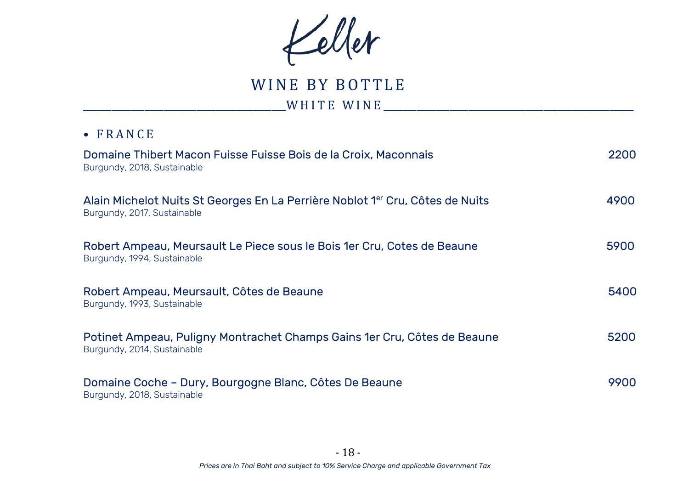Keller

WINE BY BOTTLE

\_\_\_\_\_\_\_\_\_\_\_\_\_\_\_\_\_\_\_\_\_\_\_\_\_\_\_\_\_\_\_\_\_\_\_\_\_\_\_\_\_\_\_W H I T E W I N E \_\_\_\_\_\_\_\_\_\_\_\_\_\_\_\_\_\_\_\_\_\_\_\_\_\_\_\_\_\_\_\_\_\_\_\_\_\_\_\_\_\_\_\_\_\_\_\_\_\_\_\_\_

| Domaine Thibert Macon Fuisse Fuisse Bois de la Croix, Maconnais<br>Burgundy, 2018, Sustainable               | 2200 |
|--------------------------------------------------------------------------------------------------------------|------|
| Alain Michelot Nuits St Georges En La Perrière Noblot 1er Cru, Côtes de Nuits<br>Burgundy, 2017, Sustainable | 4900 |
| Robert Ampeau, Meursault Le Piece sous le Bois 1er Cru, Cotes de Beaune<br>Burgundy, 1994, Sustainable       | 5900 |
| Robert Ampeau, Meursault, Côtes de Beaune<br>Burgundy, 1993, Sustainable                                     | 5400 |
| Potinet Ampeau, Puligny Montrachet Champs Gains 1er Cru, Côtes de Beaune<br>Burgundy, 2014, Sustainable      | 5200 |
| Domaine Coche - Dury, Bourgogne Blanc, Côtes De Beaune<br>Burgundy, 2018, Sustainable                        | 9900 |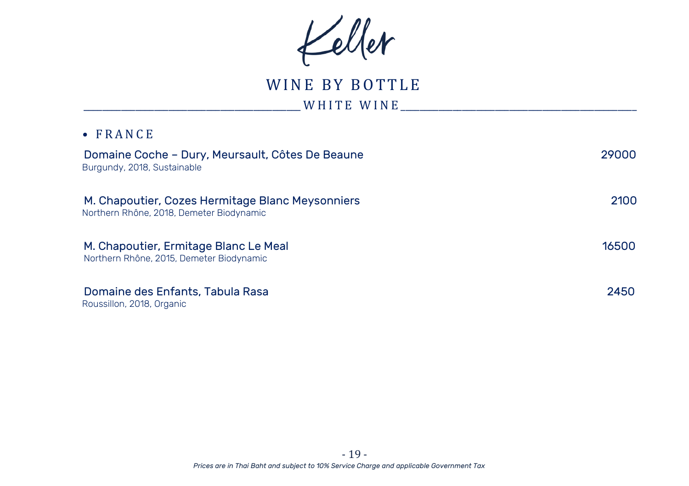Keller

WINE BY BOTTLE

\_\_\_\_\_\_\_\_\_\_\_\_\_\_\_\_\_\_\_\_\_\_\_\_\_\_\_\_\_\_\_\_\_\_\_\_\_\_\_\_\_\_\_\_\_\_ W H I T E W I N E \_\_\_\_\_\_\_\_\_\_\_\_\_\_\_\_\_\_\_\_\_\_\_\_\_\_\_\_\_\_\_\_\_\_\_\_\_\_\_\_\_\_\_\_\_\_\_\_\_\_

| Domaine Coche – Dury, Meursault, Côtes De Beaune<br>Burgundy, 2018, Sustainable              | 29000 |
|----------------------------------------------------------------------------------------------|-------|
| M. Chapoutier, Cozes Hermitage Blanc Meysonniers<br>Northern Rhône, 2018, Demeter Biodynamic | 2100  |
| M. Chapoutier, Ermitage Blanc Le Meal<br>Northern Rhône, 2015, Demeter Biodynamic            | 16500 |
| Domaine des Enfants, Tabula Rasa<br>Roussillon, 2018, Organic                                | 2450  |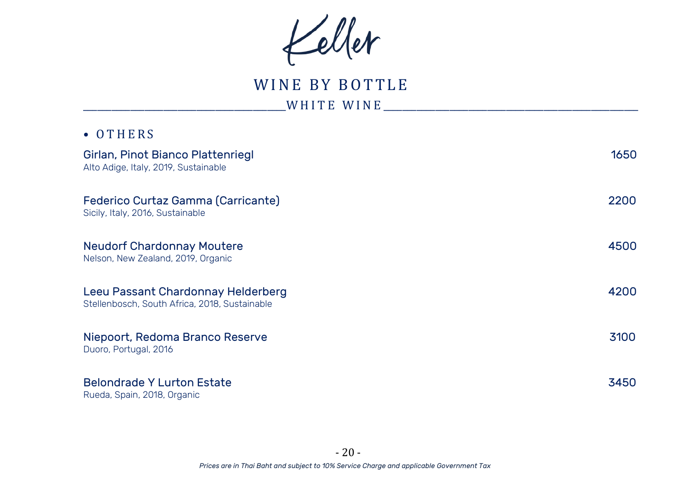Keller

WINE BY BOTTLE \_\_\_\_\_\_\_\_\_\_\_\_\_\_\_\_\_\_\_\_\_\_\_\_\_\_\_\_\_\_\_\_\_\_\_\_\_\_\_\_\_\_\_W H I T E W I N E \_\_\_\_\_\_\_\_\_\_\_\_\_\_\_\_\_\_\_\_\_\_\_\_\_\_\_\_\_\_\_\_\_\_\_\_\_\_\_\_\_\_\_\_\_\_\_\_\_\_\_\_\_\_

| $\bullet$ OTHERS                                                                    |      |
|-------------------------------------------------------------------------------------|------|
| Girlan, Pinot Bianco Plattenriegl<br>Alto Adige, Italy, 2019, Sustainable           | 1650 |
| Federico Curtaz Gamma (Carricante)<br>Sicily, Italy, 2016, Sustainable              | 2200 |
| <b>Neudorf Chardonnay Moutere</b><br>Nelson, New Zealand, 2019, Organic             | 4500 |
| Leeu Passant Chardonnay Helderberg<br>Stellenbosch, South Africa, 2018, Sustainable | 4200 |
| Niepoort, Redoma Branco Reserve<br>Duoro, Portugal, 2016                            | 3100 |
| <b>Belondrade Y Lurton Estate</b><br>Rueda, Spain, 2018, Organic                    | 3450 |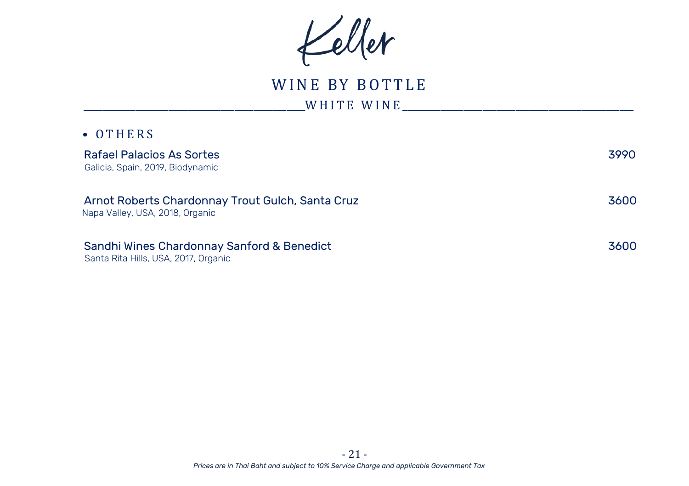Keller

# WINE BY BOTTLE  $\_$ W H I T E W I N E  $\_$

| $\bullet$ OTHERS                                                                    |      |
|-------------------------------------------------------------------------------------|------|
| Rafael Palacios As Sortes<br>Galicia, Spain, 2019, Biodynamic                       | 3990 |
| Arnot Roberts Chardonnay Trout Gulch, Santa Cruz<br>Napa Valley, USA, 2018, Organic | 3600 |
| Sandhi Wines Chardonnay Sanford & Benedict<br>Santa Rita Hills, USA, 2017, Organic  | 3600 |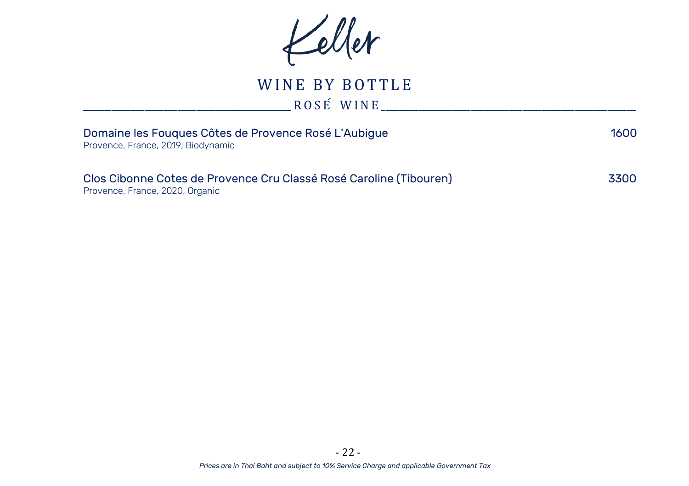Keller

WINE BY BOTTLE  $R O S E$  W I N E  $\qquad \qquad$ 

| Domaine les Fougues Côtes de Provence Rosé L'Aubigue<br>Provence, France, 2019, Biodynamic            | 1600 |
|-------------------------------------------------------------------------------------------------------|------|
| Clos Cibonne Cotes de Provence Cru Classé Rosé Caroline (Tibouren)<br>Provence, France, 2020, Organic | 3300 |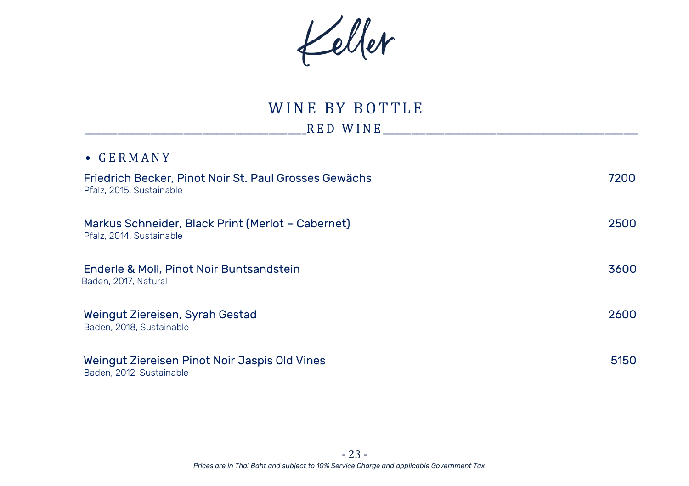Keller

# WINE BY BOTTLE

\_\_\_\_\_\_\_\_\_\_\_\_\_\_\_\_\_\_\_\_\_\_\_\_\_\_\_\_\_\_\_\_\_\_\_\_\_\_\_\_\_\_\_\_\_\_\_R E D W I N E \_\_\_\_\_\_\_\_\_\_\_\_\_\_\_\_\_\_\_\_\_\_\_\_\_\_\_\_\_\_\_\_\_\_\_\_\_\_\_\_\_\_\_\_\_\_\_\_\_\_\_\_\_\_

| $\bullet$ GERMANY                                                                 |      |
|-----------------------------------------------------------------------------------|------|
| Friedrich Becker, Pinot Noir St. Paul Grosses Gewächs<br>Pfalz, 2015, Sustainable | 7200 |
| Markus Schneider, Black Print (Merlot - Cabernet)<br>Pfalz, 2014, Sustainable     | 2500 |
| Enderle & Moll, Pinot Noir Buntsandstein<br>Baden, 2017, Natural                  | 3600 |
| Weingut Ziereisen, Syrah Gestad<br>Baden, 2018. Sustainable                       | 2600 |
| Weingut Ziereisen Pinot Noir Jaspis Old Vines<br>Baden, 2012, Sustainable         | 5150 |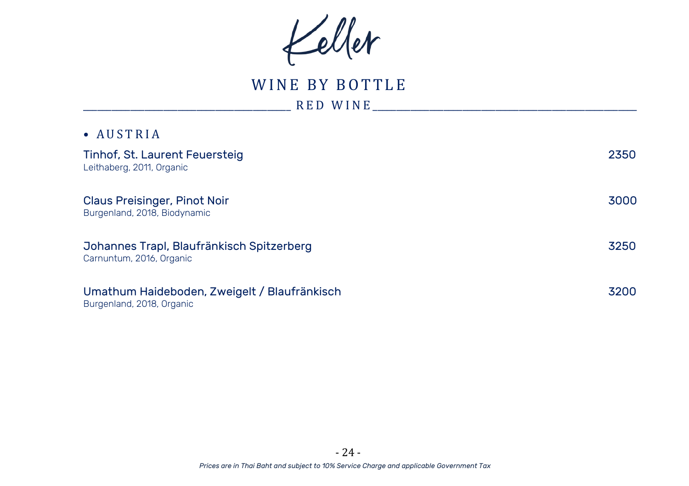Keller

WINE BY BOTTLE

\_\_\_\_\_\_\_\_\_\_\_\_\_\_\_\_\_\_\_\_\_\_\_\_\_\_\_\_\_\_\_\_\_\_\_\_\_\_\_\_\_\_\_\_ R E D W I N E \_\_\_\_\_\_\_\_\_\_\_\_\_\_\_\_\_\_\_\_\_\_\_\_\_\_\_\_\_\_\_\_\_\_\_\_\_\_\_\_\_\_\_\_\_\_\_\_\_\_\_\_\_\_\_\_

| • AUSTRIA                                                                 |      |
|---------------------------------------------------------------------------|------|
| Tinhof, St. Laurent Feuersteig                                            | 2350 |
| Leithaberg, 2011, Organic                                                 |      |
| <b>Claus Preisinger, Pinot Noir</b><br>Burgenland, 2018, Biodynamic       | 3000 |
| Johannes Trapl, Blaufränkisch Spitzerberg<br>Carnuntum, 2016, Organic     | 3250 |
| Umathum Haideboden, Zweigelt / Blaufränkisch<br>Burgenland, 2018, Organic | 3200 |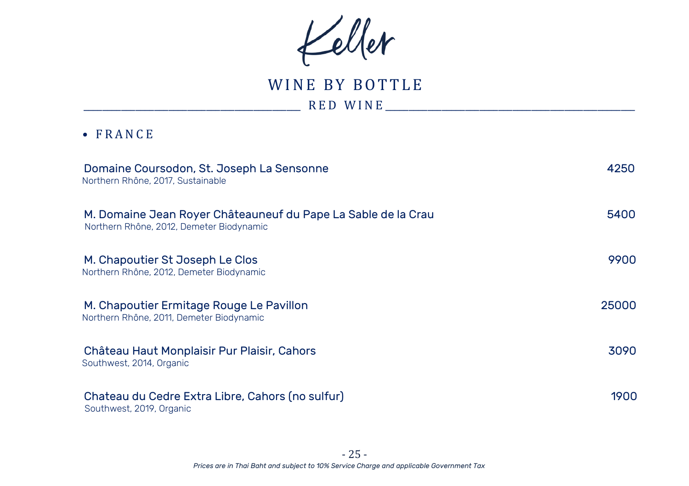Keller

WINE BY BOTTLE \_\_\_\_\_\_\_\_\_\_\_\_\_\_\_\_\_\_\_\_\_\_\_\_\_\_\_\_\_\_\_\_\_\_\_\_\_\_\_\_\_\_\_\_\_\_ R E D W I N E \_\_\_\_\_\_\_\_\_\_\_\_\_\_\_\_\_\_\_\_\_\_\_\_\_\_\_\_\_\_\_\_\_\_\_\_\_\_\_\_\_\_\_\_\_\_\_\_\_\_\_\_\_

| Domaine Coursodon, St. Joseph La Sensonne<br>Northern Rhône, 2017, Sustainable                            | 4250  |
|-----------------------------------------------------------------------------------------------------------|-------|
| M. Domaine Jean Royer Châteauneuf du Pape La Sable de la Crau<br>Northern Rhône, 2012, Demeter Biodynamic | 5400  |
| M. Chapoutier St Joseph Le Clos<br>Northern Rhône, 2012, Demeter Biodynamic                               | 9900  |
| M. Chapoutier Ermitage Rouge Le Pavillon<br>Northern Rhône, 2011, Demeter Biodynamic                      | 25000 |
| Château Haut Monplaisir Pur Plaisir, Cahors<br>Southwest, 2014, Organic                                   | 3090  |
| Chateau du Cedre Extra Libre, Cahors (no sulfur)<br>Southwest, 2019, Organic                              | 1900  |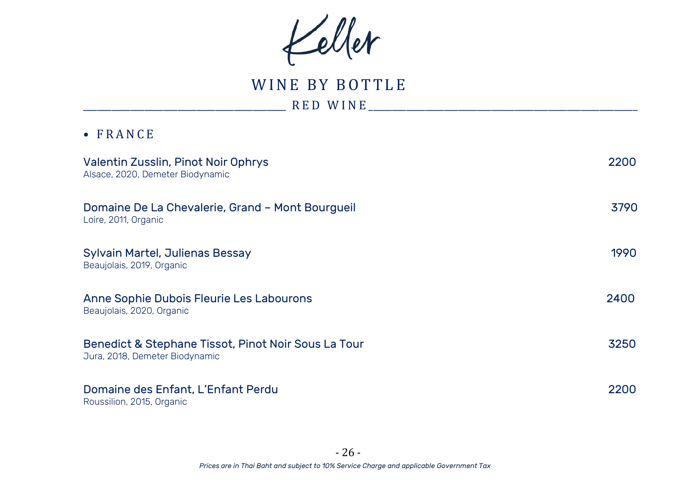Keller

WINE BY BOTTLE

\_\_\_\_\_\_\_\_\_\_\_\_\_\_\_\_\_\_\_\_\_\_\_\_\_\_\_\_\_\_\_\_\_\_\_\_\_\_\_\_\_\_\_ R E D W I N E \_\_\_\_\_\_\_\_\_\_\_\_\_\_\_\_\_\_\_\_\_\_\_\_\_\_\_\_\_\_\_\_\_\_\_\_\_\_\_\_\_\_\_\_\_\_\_\_\_\_\_\_\_\_\_\_\_

| Valentin Zusslin, Pinot Noir Ophrys<br>Alsace, 2020, Demeter Biodynamic               | 2200 |
|---------------------------------------------------------------------------------------|------|
| Domaine De La Chevalerie, Grand - Mont Bourgueil<br>Loire, 2011, Organic              | 3790 |
| Sylvain Martel, Julienas Bessay<br>Beaujolais, 2019, Organic                          | 1990 |
| Anne Sophie Dubois Fleurie Les Labourons<br>Beaujolais, 2020, Organic                 | 2400 |
| Benedict & Stephane Tissot, Pinot Noir Sous La Tour<br>Jura, 2018, Demeter Biodynamic | 3250 |
| Domaine des Enfant, L'Enfant Perdu<br>Roussilion, 2015, Organic                       | 2200 |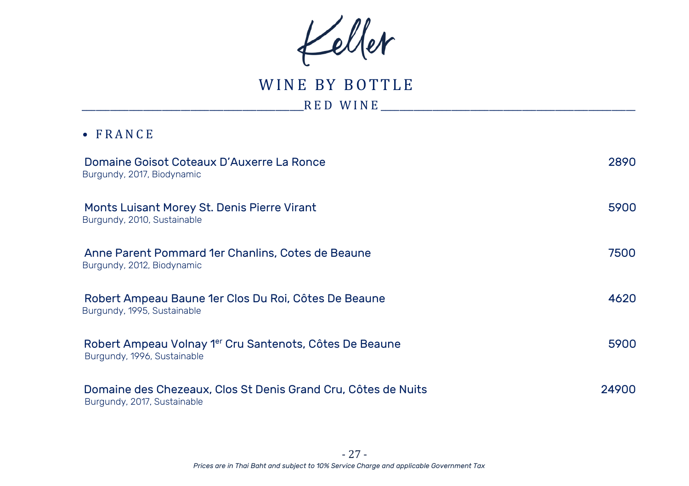Keller

WINE BY BOTTLE \_\_\_\_\_\_\_\_\_\_\_\_\_\_\_\_\_\_\_\_\_\_\_\_\_\_\_\_\_\_\_\_\_\_\_\_\_\_\_\_\_\_\_\_\_\_\_R E D W I N E \_\_\_\_\_\_\_\_\_\_\_\_\_\_\_\_\_\_\_\_\_\_\_\_\_\_\_\_\_\_\_\_\_\_\_\_\_\_\_\_\_\_\_\_\_\_\_\_\_\_\_\_\_\_

| Domaine Goisot Coteaux D'Auxerre La Ronce<br>Burgundy, 2017, Biodynamic                      | 2890  |
|----------------------------------------------------------------------------------------------|-------|
| Monts Luisant Morey St. Denis Pierre Virant<br>Burgundy, 2010, Sustainable                   | 5900  |
| Anne Parent Pommard 1er Chanlins, Cotes de Beaune<br>Burgundy, 2012, Biodynamic              | 7500  |
| Robert Ampeau Baune 1er Clos Du Roi, Côtes De Beaune<br>Burgundy, 1995, Sustainable          | 4620  |
| Robert Ampeau Volnay 1er Cru Santenots, Côtes De Beaune<br>Burgundy, 1996, Sustainable       | 5900  |
| Domaine des Chezeaux. Clos St Denis Grand Cru. Côtes de Nuits<br>Burgundy, 2017, Sustainable | 24900 |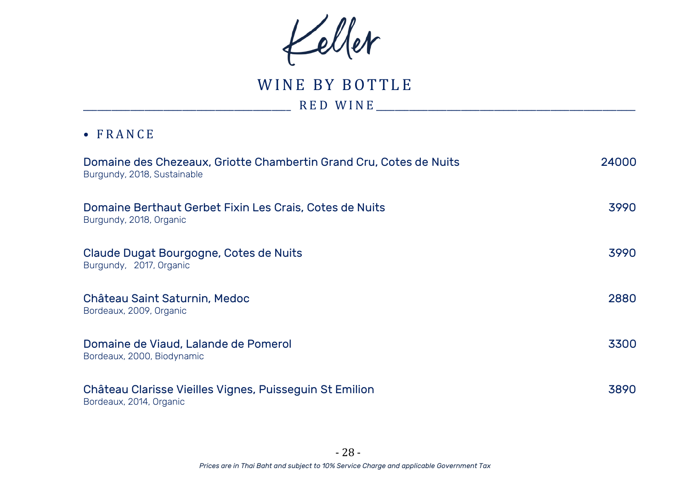Keller

WINE BY BOTTLE

\_\_\_\_\_\_\_\_\_\_\_\_\_\_\_\_\_\_\_\_\_\_\_\_\_\_\_\_\_\_\_\_\_\_\_\_\_\_\_\_\_\_\_\_ R E D W I N E \_\_\_\_\_\_\_\_\_\_\_\_\_\_\_\_\_\_\_\_\_\_\_\_\_\_\_\_\_\_\_\_\_\_\_\_\_\_\_\_\_\_\_\_\_\_\_\_\_\_\_\_\_\_\_

| Domaine des Chezeaux. Griotte Chambertin Grand Cru. Cotes de Nuits<br>Burgundy, 2018, Sustainable | 24000 |
|---------------------------------------------------------------------------------------------------|-------|
| Domaine Berthaut Gerbet Fixin Les Crais, Cotes de Nuits<br>Burgundy, 2018, Organic                | 3990  |
| Claude Dugat Bourgogne, Cotes de Nuits<br>Burgundy, 2017, Organic                                 | 3990  |
| Château Saint Saturnin, Medoc<br>Bordeaux, 2009, Organic                                          | 2880  |
| Domaine de Viaud, Lalande de Pomerol<br>Bordeaux, 2000, Biodynamic                                | 3300  |
| Château Clarisse Vieilles Vignes, Puisseguin St Emilion<br>Bordeaux, 2014, Organic                | 3890  |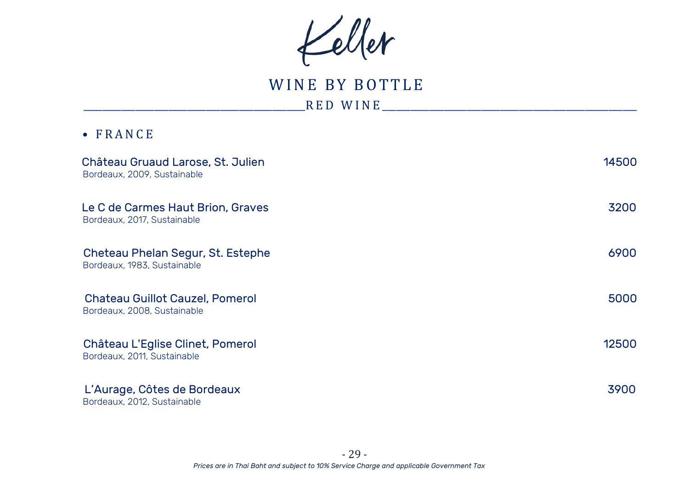Keller

WINE BY BOTTLE  $_{RED}$  W I N E  $_{max}$  and  $_{max}$  and  $_{max}$  and  $_{max}$  and  $_{max}$  and  $_{max}$  and  $_{max}$  and  $_{max}$  and  $_{max}$  and  $_{max}$  and  $_{max}$  and  $_{max}$  and  $_{max}$  and  $_{max}$  and  $_{max}$  and  $_{max}$  and  $_{max}$  and  $_{max}$  and  $_{max}$  and  $_{max}$  and  $_{max}$ 

| Château Gruaud Larose, St. Julien<br>Bordeaux, 2009, Sustainable      | 14500 |
|-----------------------------------------------------------------------|-------|
| Le C de Carmes Haut Brion, Graves<br>Bordeaux, 2017, Sustainable      | 3200  |
| Cheteau Phelan Segur, St. Estephe<br>Bordeaux, 1983, Sustainable      | 6900  |
| <b>Chateau Guillot Cauzel, Pomerol</b><br>Bordeaux, 2008, Sustainable | 5000  |
| Château L'Eglise Clinet, Pomerol<br>Bordeaux, 2011, Sustainable       | 12500 |
| L'Aurage, Côtes de Bordeaux<br>Bordeaux, 2012, Sustainable            | 3900  |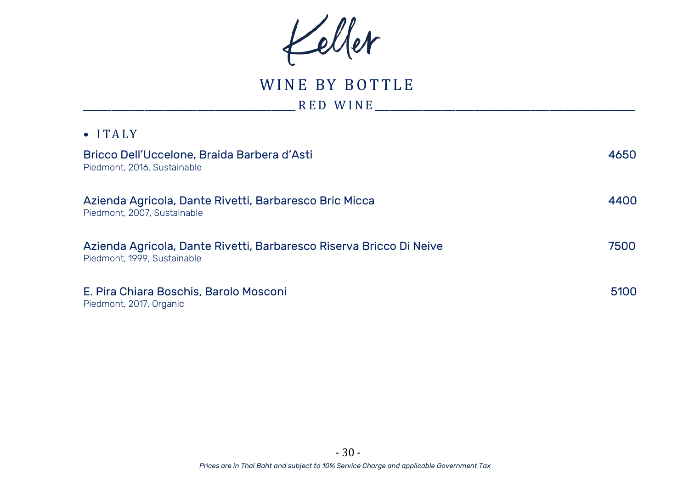Keller

WINE BY BOTTLE

\_\_\_\_\_\_\_\_\_\_\_\_\_\_\_\_\_\_\_\_\_\_\_\_\_\_\_\_\_\_\_\_\_\_\_\_\_\_\_\_\_\_\_\_\_ R E D W I N E \_\_\_\_\_\_\_\_\_\_\_\_\_\_\_\_\_\_\_\_\_\_\_\_\_\_\_\_\_\_\_\_\_\_\_\_\_\_\_\_\_\_\_\_\_\_\_\_\_\_\_\_\_\_\_

| $\bullet$ ITALY                                                                                    |      |
|----------------------------------------------------------------------------------------------------|------|
| Bricco Dell'Uccelone, Braida Barbera d'Asti<br>Piedmont, 2016, Sustainable                         | 4650 |
| Azienda Agricola, Dante Rivetti, Barbaresco Bric Micca<br>Piedmont, 2007, Sustainable              | 4400 |
| Azienda Agricola, Dante Rivetti, Barbaresco Riserva Bricco Di Neive<br>Piedmont, 1999, Sustainable | 7500 |
| E. Pira Chiara Boschis, Barolo Mosconi<br>Piedmont, 2017, Organic                                  | 5100 |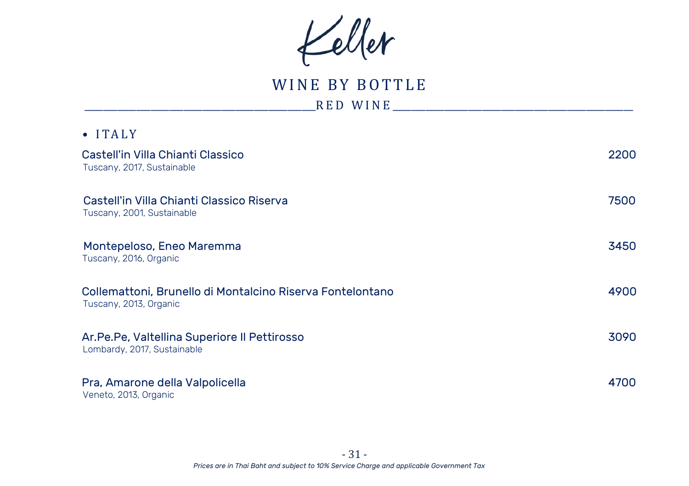Keller

# WINE BY BOTTLE

\_\_\_\_\_\_\_\_\_\_\_\_\_\_\_\_\_\_\_\_\_\_\_\_\_\_\_\_\_\_\_\_\_\_\_\_\_\_\_\_\_\_\_\_\_\_\_\_\_R E D W I N E \_\_\_\_\_\_\_\_\_\_\_\_\_\_\_\_\_\_\_\_\_\_\_\_\_\_\_\_\_\_\_\_\_\_\_\_\_\_\_\_\_\_\_\_\_\_\_\_\_\_\_

| $\bullet$ ITALY                                                                     |      |
|-------------------------------------------------------------------------------------|------|
| Castell'in Villa Chianti Classico<br>Tuscany, 2017, Sustainable                     | 2200 |
| Castell'in Villa Chianti Classico Riserva<br>Tuscany, 2001, Sustainable             | 7500 |
| Montepeloso, Eneo Maremma<br>Tuscany, 2016, Organic                                 | 3450 |
| Collemattoni, Brunello di Montalcino Riserva Fontelontano<br>Tuscany, 2013, Organic | 4900 |
| Ar.Pe.Pe, Valtellina Superiore II Pettirosso<br>Lombardy, 2017, Sustainable         | 3090 |
| Pra, Amarone della Valpolicella<br>Veneto, 2013, Organic                            | 4700 |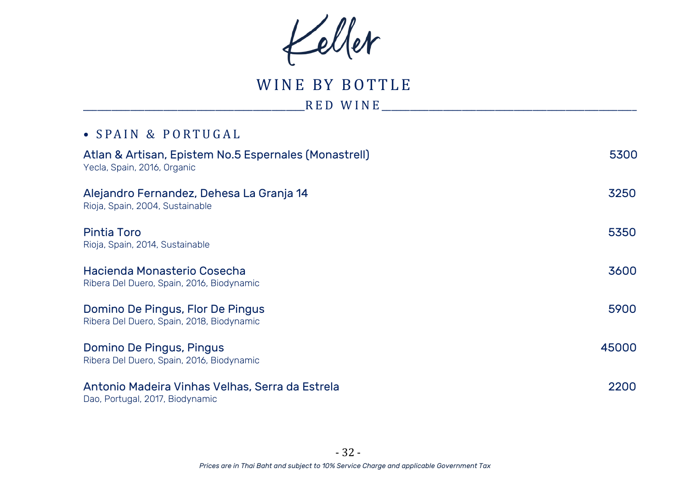Keller

WINE BY BOTTLE

\_\_\_\_\_\_\_\_\_\_\_\_\_\_\_\_\_\_\_\_\_\_\_\_\_\_\_\_\_\_\_\_\_\_\_\_\_\_\_\_\_\_\_\_\_\_\_R E D W I N E \_\_\_\_\_\_\_\_\_\_\_\_\_\_\_\_\_\_\_\_\_\_\_\_\_\_\_\_\_\_\_\_\_\_\_\_\_\_\_\_\_\_\_\_\_\_\_\_\_\_\_\_\_\_

## • SPAIN & PORTUGAL

| Atlan & Artisan, Epistem No.5 Espernales (Monastrell)<br>Yecla, Spain, 2016, Organic | 5300  |
|--------------------------------------------------------------------------------------|-------|
| Alejandro Fernandez, Dehesa La Granja 14<br>Rioja, Spain, 2004, Sustainable          | 3250  |
| Pintia Toro<br>Rioja, Spain, 2014, Sustainable                                       | 5350  |
| Hacienda Monasterio Cosecha<br>Ribera Del Duero, Spain, 2016, Biodynamic             | 3600  |
| Domino De Pingus, Flor De Pingus<br>Ribera Del Duero, Spain, 2018, Biodynamic        | 5900  |
| Domino De Pingus, Pingus<br>Ribera Del Duero, Spain, 2016, Biodynamic                | 45000 |
| Antonio Madeira Vinhas Velhas, Serra da Estrela<br>Dao, Portugal, 2017, Biodynamic   | 2200  |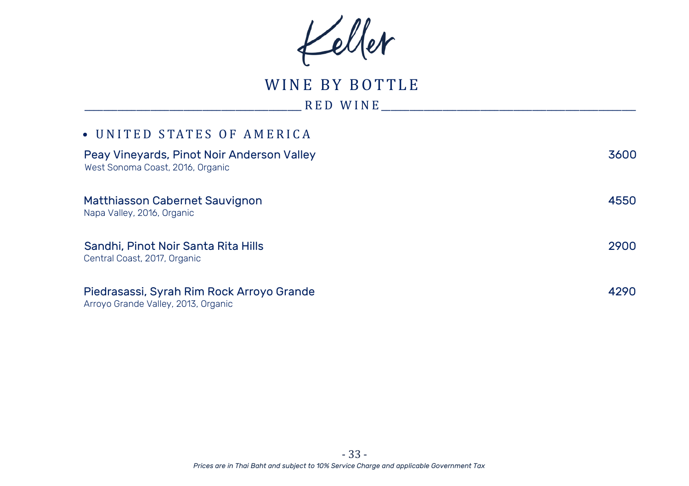Keller

WINE BY BOTTLE

\_\_\_\_\_\_\_\_\_\_\_\_\_\_\_\_\_\_\_\_\_\_\_\_\_\_\_\_\_\_\_\_\_\_\_\_\_\_\_\_\_\_\_\_\_\_ R E D W I N E \_\_\_\_\_\_\_\_\_\_\_\_\_\_\_\_\_\_\_\_\_\_\_\_\_\_\_\_\_\_\_\_\_\_\_\_\_\_\_\_\_\_\_\_\_\_\_\_\_\_\_\_\_\_

## • UNITED STATES OF AMERICA

| Peay Vineyards, Pinot Noir Anderson Valley<br>West Sonoma Coast, 2016, Organic   | 3600 |
|----------------------------------------------------------------------------------|------|
| Matthiasson Cabernet Sauvignon<br>Napa Valley, 2016, Organic                     | 4550 |
| Sandhi, Pinot Noir Santa Rita Hills<br>Central Coast, 2017, Organic              | 2900 |
| Piedrasassi, Syrah Rim Rock Arroyo Grande<br>Arroyo Grande Valley, 2013, Organic | 4290 |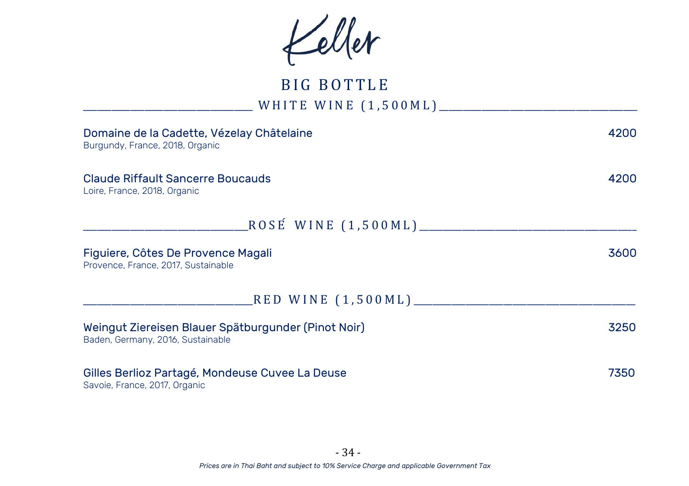Keller

# BIG BOTTLE \_\_\_\_\_\_\_\_\_\_\_\_\_\_\_\_\_\_\_\_\_\_\_\_\_\_\_\_\_\_\_\_\_\_\_\_ W H I T E W I N E ( 1 , 5 0 0 M L ) \_\_\_\_\_\_\_\_\_\_\_\_\_\_\_\_\_\_\_\_\_\_\_\_\_\_\_\_\_\_\_\_\_\_\_\_\_\_\_\_\_\_

| Domaine de la Cadette, Vézelay Châtelaine<br>Burgundy, France, 2018, Organic             | 4200 |
|------------------------------------------------------------------------------------------|------|
| Claude Riffault Sancerre Boucauds<br>Loire, France, 2018, Organic                        | 4200 |
| _ROSÉ WINE (1,500ML)________                                                             |      |
| Figuiere, Côtes De Provence Magali<br>Provence, France, 2017, Sustainable                | 3600 |
| RED WINE (1,500ML)_______                                                                |      |
| Weingut Ziereisen Blauer Spätburgunder (Pinot Noir)<br>Baden, Germany, 2016, Sustainable | 3250 |
| Gilles Berlioz Partagé, Mondeuse Cuvee La Deuse<br>Savoie, France, 2017, Organic         | 7350 |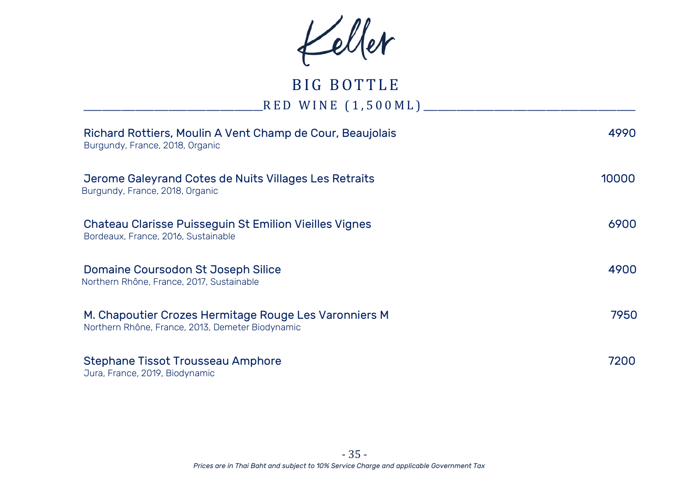Keller

# BIG BOTTLE \_\_\_\_\_\_\_\_\_\_\_\_\_\_\_\_\_\_\_\_\_\_\_\_\_\_\_\_\_\_\_\_\_\_\_\_\_\_R E D W I N E ( 1 , 5 0 0 M L ) \_\_\_\_\_\_\_\_\_\_\_\_\_\_\_\_\_\_\_\_\_\_\_\_\_\_\_\_\_\_\_\_\_\_\_\_\_\_\_\_\_\_\_\_\_

| Richard Rottiers, Moulin A Vent Champ de Cour, Beaujolais<br>Burgundy, France, 2018, Organic              | 4990  |
|-----------------------------------------------------------------------------------------------------------|-------|
| Jerome Galeyrand Cotes de Nuits Villages Les Retraits<br>Burgundy, France, 2018, Organic                  | 10000 |
| Chateau Clarisse Puisseguin St Emilion Vieilles Vignes<br>Bordeaux, France, 2016, Sustainable             | 6900  |
| Domaine Coursodon St Joseph Silice<br>Northern Rhône, France, 2017, Sustainable                           | 4900  |
| M. Chapoutier Crozes Hermitage Rouge Les Varonniers M<br>Northern Rhône, France, 2013, Demeter Biodynamic | 7950  |
| Stephane Tissot Trousseau Amphore<br>Jura, France, 2019, Biodynamic                                       | 7200  |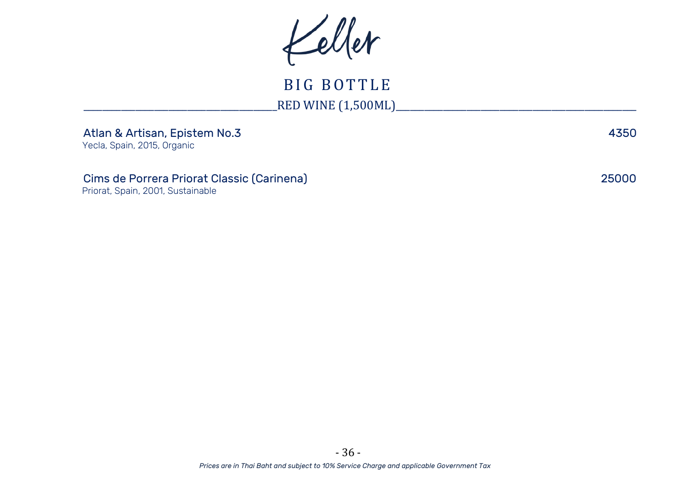Keller

BIG BOTTLE \_\_\_\_\_\_\_\_\_\_\_\_\_\_\_\_\_\_\_\_\_\_\_\_\_\_\_\_\_\_\_\_\_\_\_\_\_\_\_\_\_RED WINE (1,500ML)\_\_\_\_\_\_\_\_\_\_\_\_\_\_\_\_\_\_\_\_\_\_\_\_\_\_\_\_\_\_\_\_\_\_\_\_\_\_\_\_\_\_\_\_\_\_\_\_\_\_\_

| Atlan & Artisan, Epistem No.3 | 4350 |
|-------------------------------|------|
|                               |      |

Yecla, Spain, 2015, Organic

Cims de Porrera Priorat Classic (Carinena) 25000

Priorat, Spain, 2001, Sustainable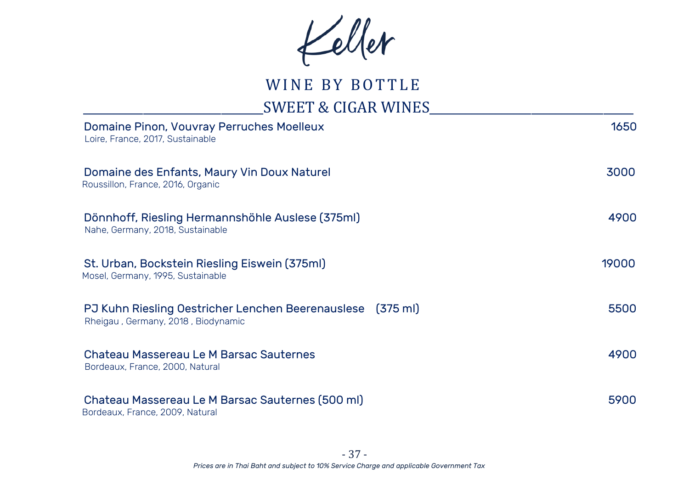Keller

# WINE BY BOTTLE

## \_\_\_\_\_\_\_\_\_\_\_\_\_\_\_\_\_\_\_\_\_\_\_\_\_\_\_\_\_\_SWEET & CIGAR WINES\_\_\_\_\_\_\_\_\_\_\_\_\_\_\_\_\_\_\_\_\_\_\_\_\_\_\_\_\_\_\_\_\_\_

| Domaine Pinon, Vouvray Perruches Moelleux<br>Loire, France, 2017, Sustainable                    | 1650  |
|--------------------------------------------------------------------------------------------------|-------|
| Domaine des Enfants, Maury Vin Doux Naturel<br>Roussillon, France, 2016, Organic                 | 3000  |
| Dönnhoff, Riesling Hermannshöhle Auslese (375ml)<br>Nahe, Germany, 2018, Sustainable             | 4900  |
| St. Urban, Bockstein Riesling Eiswein (375ml)<br>Mosel, Germany, 1995, Sustainable               | 19000 |
| PJ Kuhn Riesling Oestricher Lenchen Beerenauslese (375 ml)<br>Rheigau, Germany, 2018, Biodynamic | 5500  |
| Chateau Massereau Le M Barsac Sauternes<br>Bordeaux, France, 2000, Natural                       | 4900  |
| Chateau Massereau Le M Barsac Sauternes (500 ml)<br>Bordeaux, France, 2009, Natural              | 5900  |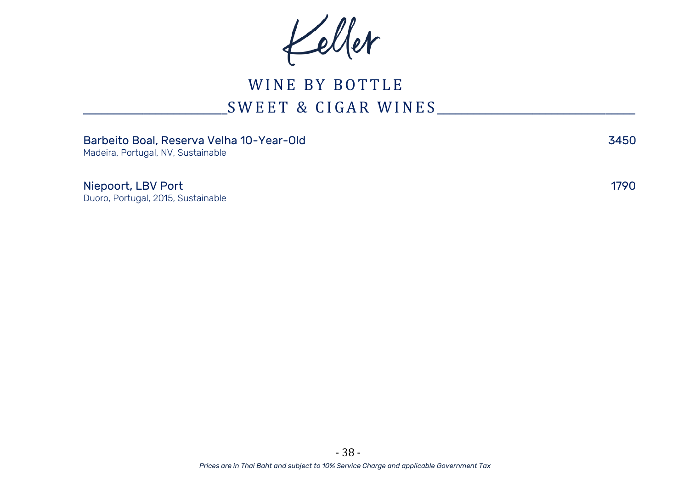Keller

# WINE BY BOTTLE \_\_\_\_\_\_\_\_\_\_\_\_\_\_\_\_\_\_\_\_\_\_\_\_S W E E T & C I G A R W I N E S \_\_\_\_\_\_\_\_\_\_\_\_\_\_\_\_\_\_\_\_\_\_\_\_\_\_\_\_\_\_\_\_\_

| Barbeito Boal, Reserva Velha 10-Year-Old<br>Madeira, Portugal, NV, Sustainable | 3450 |
|--------------------------------------------------------------------------------|------|
| Niepoort, LBV Port<br>Duoro, Portugal, 2015, Sustainable                       | 1790 |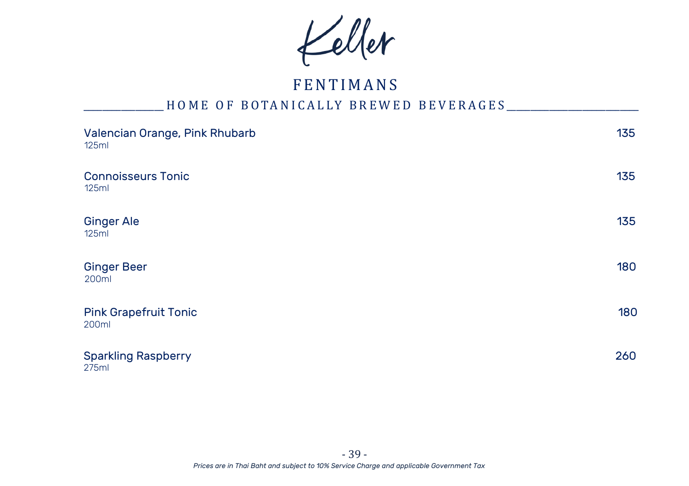Keller

# **FENTIMANS**

## H O M E O F B O TAN I CALLY BREWED BEVERAGES

| Valencian Orange, Pink Rhubarb<br>125ml | 135 |
|-----------------------------------------|-----|
| <b>Connoisseurs Tonic</b><br>125ml      | 135 |
| <b>Ginger Ale</b><br>125ml              | 135 |
| <b>Ginger Beer</b><br>200ml             | 180 |
| <b>Pink Grapefruit Tonic</b><br>200ml   | 180 |
| <b>Sparkling Raspberry</b><br>275ml     | 260 |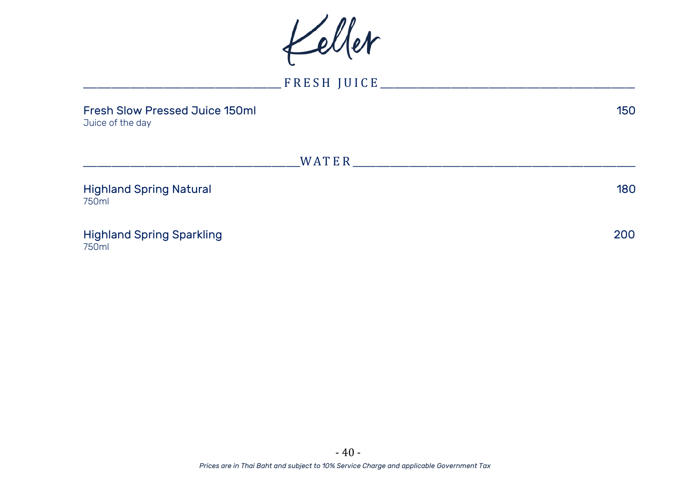Keller

\_\_\_\_\_\_\_\_\_\_\_\_\_\_\_\_\_\_\_\_\_\_\_\_\_\_\_\_\_\_\_\_\_\_\_\_\_\_\_\_\_\_ F R E S H J U I C E \_\_\_\_\_\_\_\_\_\_\_\_\_\_\_\_\_\_\_\_\_\_\_\_\_\_\_\_\_\_\_\_\_\_\_\_\_\_\_\_\_\_\_\_\_\_\_\_\_\_\_\_\_\_ Fresh Slow Pressed Juice 150ml 150 Juice of the day \_\_\_\_\_\_\_\_\_\_\_\_\_\_\_\_\_\_\_\_\_\_\_\_\_\_\_\_\_\_\_\_\_\_\_\_\_\_\_\_\_\_\_\_\_\_WA T E R \_\_\_\_\_\_\_\_\_\_\_\_\_\_\_\_\_\_\_\_\_\_\_\_\_\_\_\_\_\_\_\_\_\_\_\_\_\_\_\_\_\_\_\_\_\_\_\_\_\_\_\_\_\_\_\_\_\_\_\_ Highland Spring Natural 180 750ml Highland Spring Sparkling 200 750ml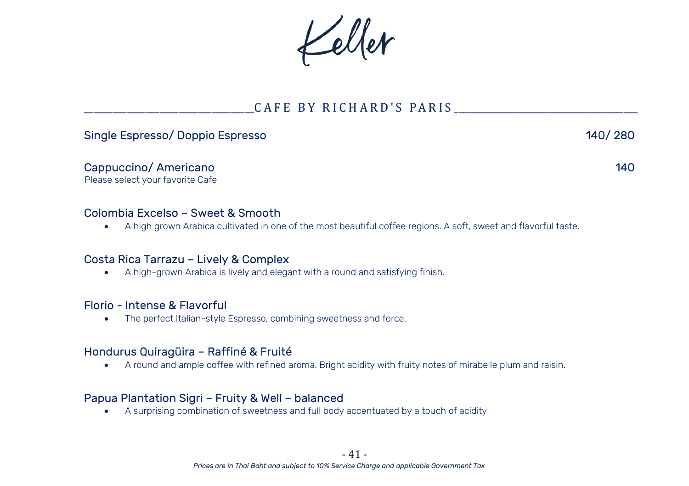Keller

### CAFE BY RICHARD'S PARIS

#### Single Espresso/ Doppio Espresso 140/ 280

Cappuccino/ Americano 140

Please select your favorite Cafe

#### Colombia Excelso – Sweet & Smooth

• A high grown Arabica cultivated in one of the most beautiful coffee regions. A soft, sweet and flavorful taste.

#### Costa Rica Tarrazu – Lively & Complex

• A high-grown Arabica is lively and elegant with a round and satisfying finish.

#### Florio - Intense & Flavorful

• The perfect Italian-style Espresso, combining sweetness and force.

#### Hondurus Quiragüira – Raffiné & Fruité

• A round and ample coffee with refined aroma. Bright acidity with fruity notes of mirabelle plum and raisin.

#### Papua Plantation Sigri – Fruity & Well – balanced

• A surprising combination of sweetness and full body accentuated by a touch of acidity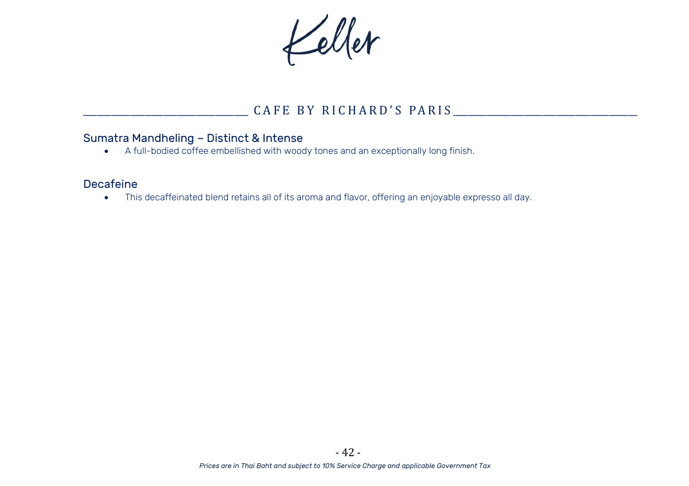Keller

## \_\_\_\_\_\_\_\_\_\_\_\_\_\_\_\_\_\_\_\_\_\_\_\_\_\_\_\_\_\_\_\_\_\_\_ C A F E B Y R I C H A R D ' S P A R I S \_\_\_\_\_\_\_\_\_\_\_\_\_\_\_\_\_\_\_\_\_\_\_\_\_\_\_\_\_\_\_\_\_\_\_\_\_\_\_

#### Sumatra Mandheling – Distinct & Intense

• A full-bodied coffee embellished with woody tones and an exceptionally long finish.

### Decafeine

• This decaffeinated blend retains all of its aroma and flavor, offering an enjoyable expresso all day.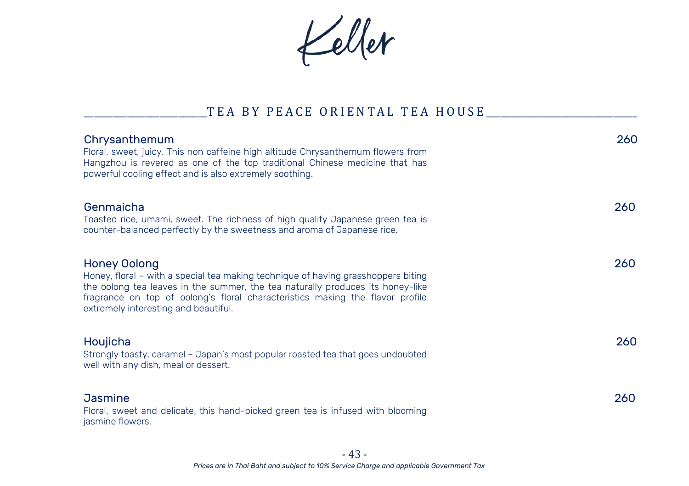Keller

### \_TEA BY PEACE ORIENTAL TEA HOUSE \_\_\_\_\_\_\_\_\_\_\_

| Chrysanthemum<br>Floral, sweet, juicy. This non caffeine high altitude Chrysanthemum flowers from<br>Hangzhou is revered as one of the top traditional Chinese medicine that has<br>powerful cooling effect and is also extremely soothing.                                                                  | 260 |
|--------------------------------------------------------------------------------------------------------------------------------------------------------------------------------------------------------------------------------------------------------------------------------------------------------------|-----|
| Genmaicha<br>Toasted rice, umami, sweet. The richness of high quality Japanese green tea is<br>counter-balanced perfectly by the sweetness and aroma of Japanese rice.                                                                                                                                       | 260 |
| Honey Oolong<br>Honey, floral – with a special tea making technique of having grasshoppers biting<br>the oolong tea leaves in the summer, the tea naturally produces its honey-like<br>fragrance on top of oolong's floral characteristics making the flavor profile<br>extremely interesting and beautiful. | 260 |
| Houjicha<br>Strongly toasty, caramel – Japan's most popular roasted tea that goes undoubted<br>well with any dish, meal or dessert.                                                                                                                                                                          | 260 |
| <b>Jasmine</b><br>Floral, sweet and delicate, this hand-picked green tea is infused with blooming<br>jasmine flowers.                                                                                                                                                                                        | 260 |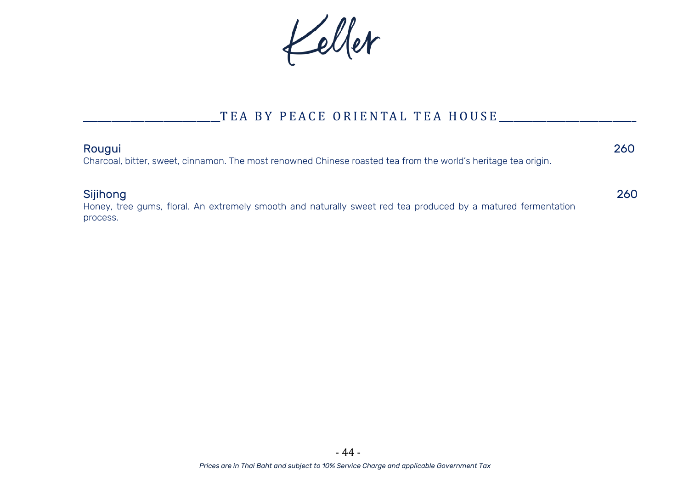Keller

## TEA BY PEACE ORIENTAL TEA HOUSE \_\_\_\_\_\_\_\_\_

#### Rougui 260

Charcoal, bitter, sweet, cinnamon. The most renowned Chinese roasted tea from the world's heritage tea origin.

#### Sijihong 260

Honey, tree gums, floral. An extremely smooth and naturally sweet red tea produced by a matured fermentation process.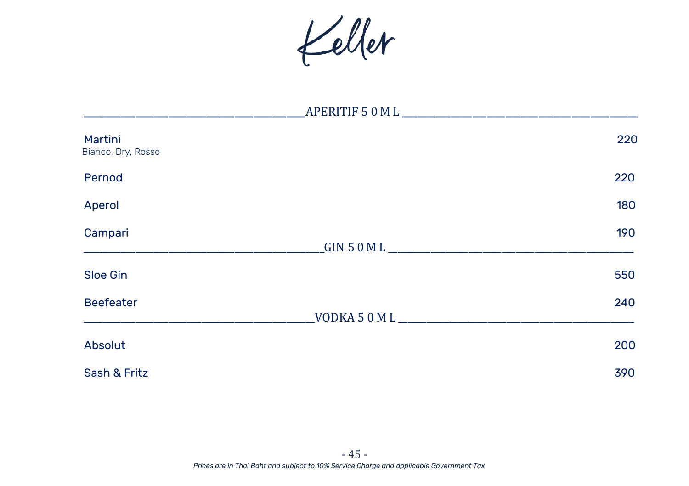Keller

| Martini<br>Bianco, Dry, Rosso | 220                 |
|-------------------------------|---------------------|
| Pernod                        | 220                 |
| Aperol                        | 180                 |
| Campari                       | 190<br>GIN 50 ML    |
| Sloe Gin                      | 550                 |
| <b>Beefeater</b>              | 240<br>VODKA 50 M L |
| Absolut                       | 200                 |
| Sash & Fritz                  | 390                 |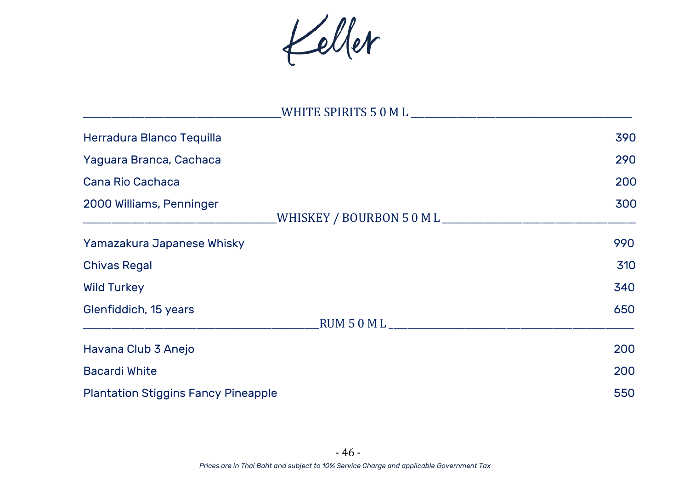Keller

| Herradura Blanco Tequilla                                                       | 390 |
|---------------------------------------------------------------------------------|-----|
| Yaguara Branca, Cachaca                                                         | 290 |
| Cana Rio Cachaca                                                                | 200 |
| 2000 Williams, Penninger<br>_WHISKEY / BOURBON 5 0 M L ________________________ | 300 |
| Yamazakura Japanese Whisky                                                      | 990 |
| <b>Chivas Regal</b>                                                             | 310 |
| <b>Wild Turkey</b>                                                              | 340 |
| Glenfiddich, 15 years                                                           | 650 |
| Havana Club 3 Anejo                                                             | 200 |
| <b>Bacardi White</b>                                                            | 200 |
| <b>Plantation Stiggins Fancy Pineapple</b>                                      | 550 |